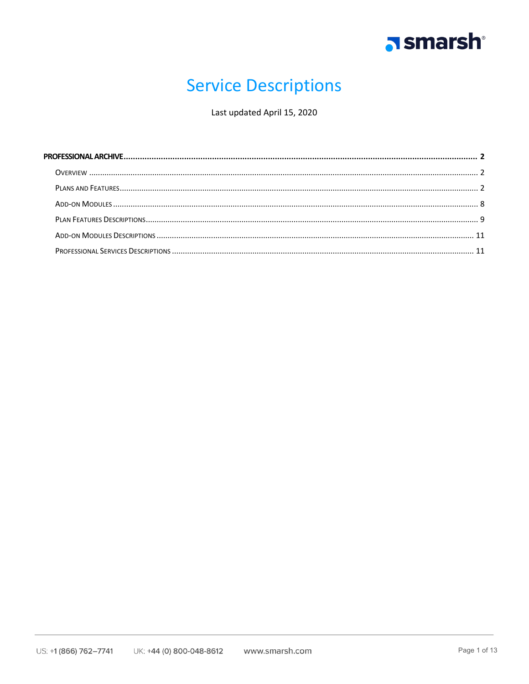

## **Service Descriptions**

Last updated April 15, 2020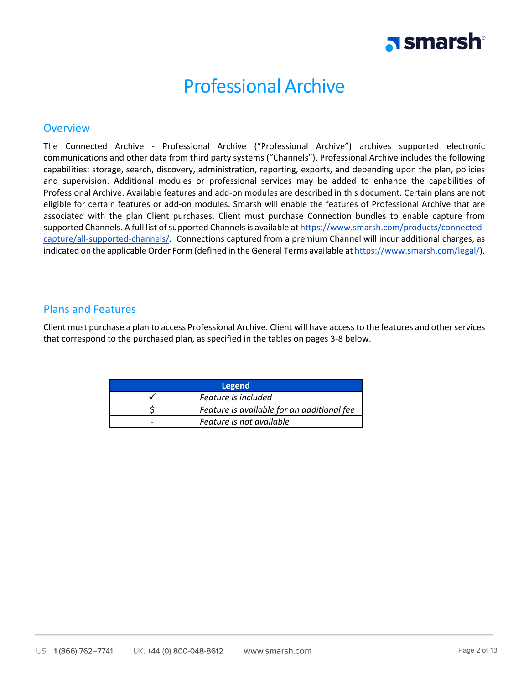# **N** smarsh

### Professional Archive

### <span id="page-1-1"></span><span id="page-1-0"></span>**Overview**

The Connected Archive - Professional Archive ("Professional Archive") archives supported electronic communications and other data from third party systems ("Channels"). Professional Archive includes the following capabilities: storage, search, discovery, administration, reporting, exports, and depending upon the plan, policies and supervision. Additional modules or professional services may be added to enhance the capabilities of Professional Archive. Available features and add-on modules are described in this document. Certain plans are not eligible for certain features or add-on modules. Smarsh will enable the features of Professional Archive that are associated with the plan Client purchases. Client must purchase Connection bundles to enable capture from supported Channels. A full list of supported Channels is available a[t https://www.smarsh.com/products/connected](https://www.smarsh.com/products/connected-capture/all-supported-channels/)[capture/all-supported-channels/.](https://www.smarsh.com/products/connected-capture/all-supported-channels/) Connections captured from a premium Channel will incur additional charges, as indicated on the applicable Order Form (defined in the General Terms available a[t https://www.smarsh.com/legal/\)](https://www.smarsh.com/legal/).

### <span id="page-1-2"></span>Plans and Features

Client must purchase a plan to access Professional Archive. Client will have access to the features and other services that correspond to the purchased plan, as specified in the tables on pages 3-8 below.

| Legend                   |                                            |  |  |
|--------------------------|--------------------------------------------|--|--|
| Feature is included      |                                            |  |  |
|                          | Feature is available for an additional fee |  |  |
| Feature is not available |                                            |  |  |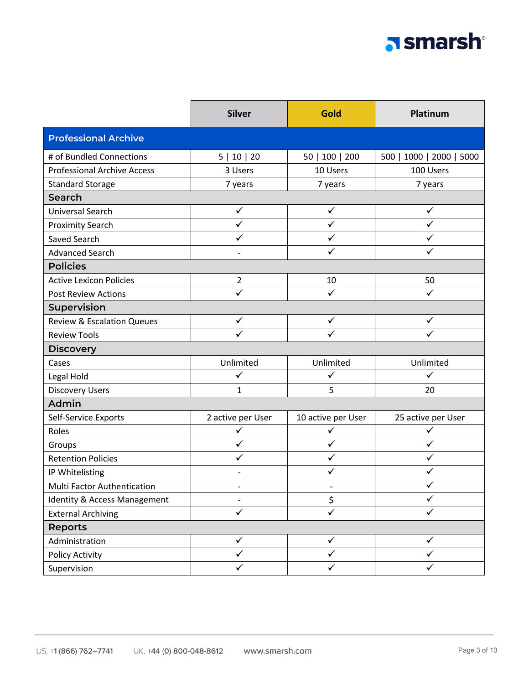# a smarsh

|                                         | <b>Silver</b>            | Gold               | Platinum                 |
|-----------------------------------------|--------------------------|--------------------|--------------------------|
| <b>Professional Archive</b>             |                          |                    |                          |
| # of Bundled Connections                | 5   10   20              | 50   100   200     | 500   1000   2000   5000 |
| <b>Professional Archive Access</b>      | 3 Users                  | 10 Users           | 100 Users                |
| <b>Standard Storage</b>                 | 7 years                  | 7 years            | 7 years                  |
| Search                                  |                          |                    |                          |
| <b>Universal Search</b>                 | $\checkmark$             | $\checkmark$       | ✓                        |
| <b>Proximity Search</b>                 | $\checkmark$             | $\checkmark$       | $\checkmark$             |
| Saved Search                            | ✓                        | ✓                  | ✓                        |
| <b>Advanced Search</b>                  | $\overline{\phantom{a}}$ | ✓                  | ✓                        |
| <b>Policies</b>                         |                          |                    |                          |
| <b>Active Lexicon Policies</b>          | $\overline{2}$           | 10                 | 50                       |
| <b>Post Review Actions</b>              | ✓                        | ✓                  | ✓                        |
| Supervision                             |                          |                    |                          |
| <b>Review &amp; Escalation Queues</b>   | $\checkmark$             | $\checkmark$       | ✓                        |
| <b>Review Tools</b>                     |                          |                    |                          |
| <b>Discovery</b>                        |                          |                    |                          |
| Cases                                   | Unlimited                | Unlimited          | Unlimited                |
| Legal Hold                              | ✓                        | ✓                  | ✓                        |
| <b>Discovery Users</b>                  | $\mathbf{1}$             | 5                  | 20                       |
| Admin                                   |                          |                    |                          |
| Self-Service Exports                    | 2 active per User        | 10 active per User | 25 active per User       |
| Roles                                   | $\checkmark$             | $\checkmark$       | $\checkmark$             |
| Groups                                  | $\checkmark$             | $\checkmark$       | ✓                        |
| <b>Retention Policies</b>               | ✓                        | ✓                  | ✓                        |
| IP Whitelisting                         |                          | ✓                  | ✓                        |
| Multi Factor Authentication             |                          |                    |                          |
| <b>Identity &amp; Access Management</b> | $\overline{\phantom{a}}$ | \$                 | ✓                        |
| <b>External Archiving</b>               | $\checkmark$             | $\checkmark$       | ✓                        |
| <b>Reports</b>                          |                          |                    |                          |
| Administration                          | $\checkmark$             | $\checkmark$       | $\checkmark$             |
| Policy Activity                         | ✓                        | ✓                  |                          |
| Supervision                             | ✓                        | ✓                  | ✓                        |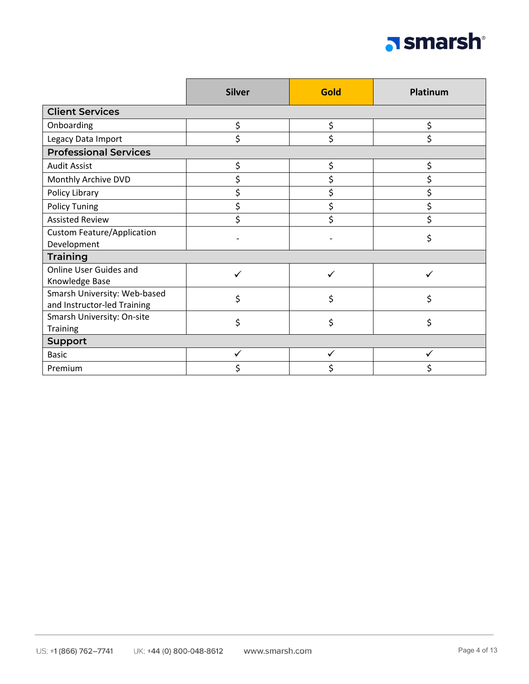

|                                                             | <b>Silver</b> | <b>Gold</b> | Platinum |
|-------------------------------------------------------------|---------------|-------------|----------|
| <b>Client Services</b>                                      |               |             |          |
| Onboarding                                                  | \$            | \$          | \$       |
| Legacy Data Import                                          | \$            | \$          |          |
| <b>Professional Services</b>                                |               |             |          |
| <b>Audit Assist</b>                                         | \$            | \$          | \$       |
| Monthly Archive DVD                                         | \$            | \$          | \$       |
| Policy Library                                              | \$            | \$          | \$       |
| <b>Policy Tuning</b>                                        | \$            | \$          | \$       |
| <b>Assisted Review</b>                                      | \$            | \$          | \$       |
| <b>Custom Feature/Application</b><br>Development            |               |             | \$       |
| <b>Training</b>                                             |               |             |          |
| <b>Online User Guides and</b><br>Knowledge Base             |               |             |          |
| Smarsh University: Web-based<br>and Instructor-led Training | \$            | \$          | \$       |
| Smarsh University: On-site<br><b>Training</b>               | \$            | \$          | \$       |
| <b>Support</b>                                              |               |             |          |
| <b>Basic</b>                                                |               |             |          |
| Premium                                                     |               |             |          |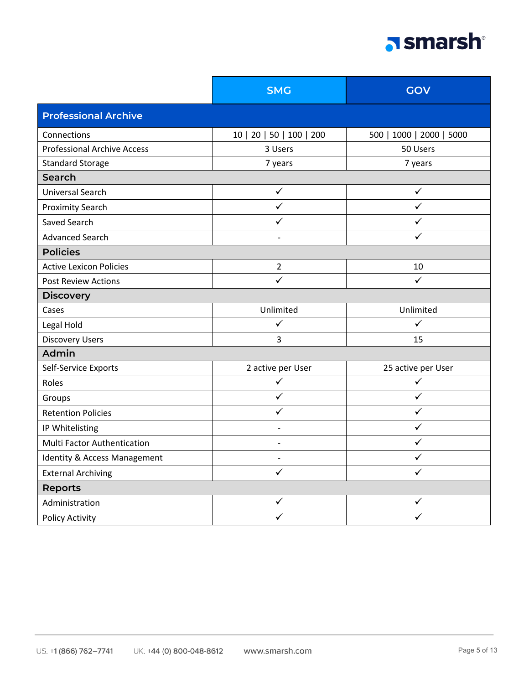# a smarsh

|                                    | <b>SMG</b>               | GOV                      |  |
|------------------------------------|--------------------------|--------------------------|--|
| <b>Professional Archive</b>        |                          |                          |  |
| Connections                        | 10   20   50   100   200 | 500   1000   2000   5000 |  |
| <b>Professional Archive Access</b> | 3 Users                  | 50 Users                 |  |
| <b>Standard Storage</b>            | 7 years                  | 7 years                  |  |
| Search                             |                          |                          |  |
| Universal Search                   | $\checkmark$             | $\checkmark$             |  |
| <b>Proximity Search</b>            | $\checkmark$             | $\checkmark$             |  |
| Saved Search                       | ✓                        | ✓                        |  |
| <b>Advanced Search</b>             |                          | ✓                        |  |
| <b>Policies</b>                    |                          |                          |  |
| <b>Active Lexicon Policies</b>     | $\overline{2}$           | 10                       |  |
| <b>Post Review Actions</b>         | $\checkmark$             | $\checkmark$             |  |
| <b>Discovery</b>                   |                          |                          |  |
| Cases                              | Unlimited                | Unlimited                |  |
| Legal Hold                         | $\checkmark$             | $\checkmark$             |  |
| <b>Discovery Users</b>             | 3                        | 15                       |  |
| Admin                              |                          |                          |  |
| Self-Service Exports               | 2 active per User        | 25 active per User       |  |
| Roles                              | $\checkmark$             | $\checkmark$             |  |
| Groups                             | ✓                        | ✓                        |  |
| <b>Retention Policies</b>          | ✓                        | ✓                        |  |
| IP Whitelisting                    |                          | ✓                        |  |
| Multi Factor Authentication        |                          | ✓                        |  |
| Identity & Access Management       |                          | ✓                        |  |
| <b>External Archiving</b>          | $\checkmark$             | ✓                        |  |
| <b>Reports</b>                     |                          |                          |  |
| Administration                     | $\checkmark$             | $\checkmark$             |  |
| Policy Activity                    | $\checkmark$             | $\checkmark$             |  |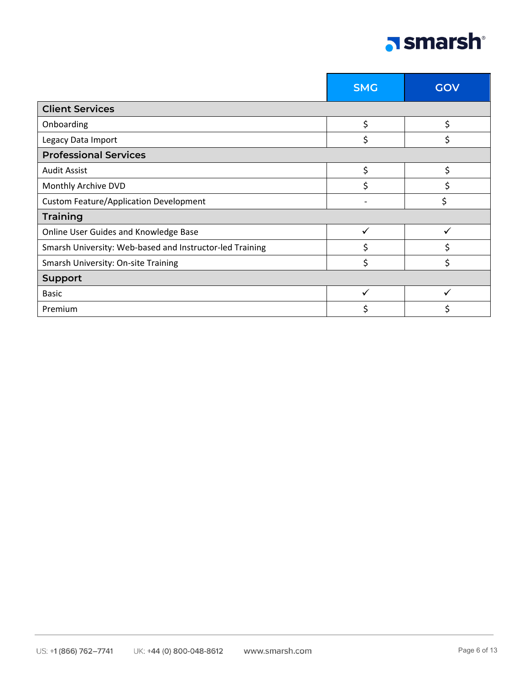

|                                                          | <b>SMG</b> | GOV |
|----------------------------------------------------------|------------|-----|
| <b>Client Services</b>                                   |            |     |
| Onboarding                                               | \$         | \$  |
| Legacy Data Import                                       | \$         |     |
| <b>Professional Services</b>                             |            |     |
| <b>Audit Assist</b>                                      | \$         | Ś   |
| Monthly Archive DVD                                      | \$         |     |
| <b>Custom Feature/Application Development</b>            |            |     |
| <b>Training</b>                                          |            |     |
| Online User Guides and Knowledge Base                    | ✓          |     |
| Smarsh University: Web-based and Instructor-led Training | Ś          |     |
| Smarsh University: On-site Training                      | \$         |     |
| <b>Support</b>                                           |            |     |
| <b>Basic</b>                                             |            |     |
| Premium                                                  | Ś.         |     |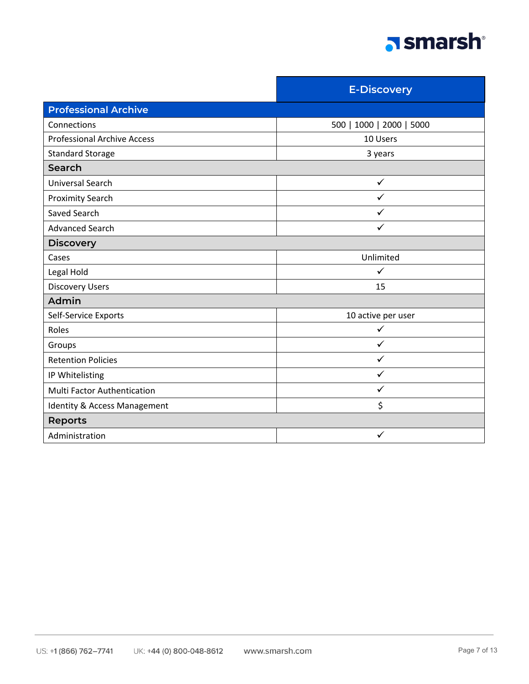

|                                    | <b>E-Discovery</b>       |  |
|------------------------------------|--------------------------|--|
| <b>Professional Archive</b>        |                          |  |
| Connections                        | 500   1000   2000   5000 |  |
| <b>Professional Archive Access</b> | 10 Users                 |  |
| <b>Standard Storage</b>            | 3 years                  |  |
| Search                             |                          |  |
| Universal Search                   | $\checkmark$             |  |
| <b>Proximity Search</b>            | ✓                        |  |
| Saved Search                       | ✓                        |  |
| <b>Advanced Search</b>             | ✓                        |  |
| <b>Discovery</b>                   |                          |  |
| Cases                              | Unlimited                |  |
| Legal Hold                         | ✓                        |  |
| <b>Discovery Users</b>             | 15                       |  |
| Admin                              |                          |  |
| Self-Service Exports               | 10 active per user       |  |
| Roles                              |                          |  |
| Groups                             | ✓                        |  |
| <b>Retention Policies</b>          | ✓                        |  |
| IP Whitelisting                    | ✓                        |  |
| <b>Multi Factor Authentication</b> | $\checkmark$             |  |
| Identity & Access Management       | \$                       |  |
| <b>Reports</b>                     |                          |  |
| Administration                     | $\checkmark$             |  |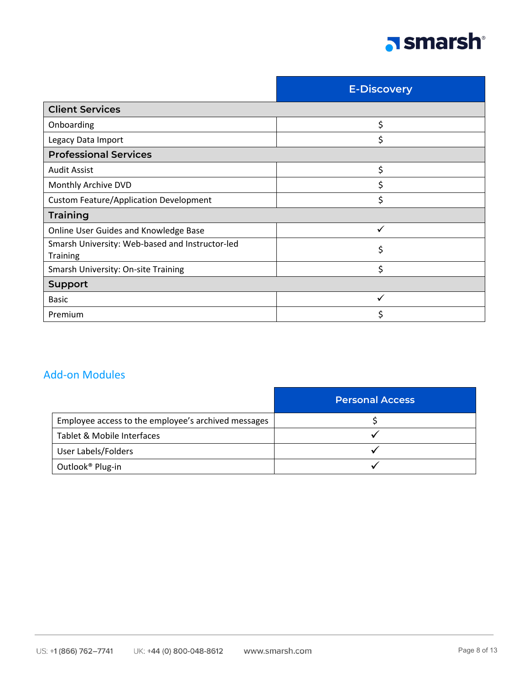

|                                                             | <b>E-Discovery</b> |
|-------------------------------------------------------------|--------------------|
| <b>Client Services</b>                                      |                    |
| Onboarding                                                  | \$                 |
| Legacy Data Import                                          | \$                 |
| <b>Professional Services</b>                                |                    |
| <b>Audit Assist</b>                                         | \$                 |
| Monthly Archive DVD                                         | \$                 |
| <b>Custom Feature/Application Development</b>               | \$                 |
| <b>Training</b>                                             |                    |
| Online User Guides and Knowledge Base                       | $\checkmark$       |
| Smarsh University: Web-based and Instructor-led<br>Training | \$                 |
| Smarsh University: On-site Training                         | \$                 |
| <b>Support</b>                                              |                    |
| <b>Basic</b>                                                |                    |
| Premium                                                     |                    |

### <span id="page-7-0"></span>Add-on Modules

|                                                     | <b>Personal Access</b> |
|-----------------------------------------------------|------------------------|
| Employee access to the employee's archived messages |                        |
| Tablet & Mobile Interfaces                          |                        |
| User Labels/Folders                                 |                        |
| Outlook <sup>®</sup> Plug-in                        |                        |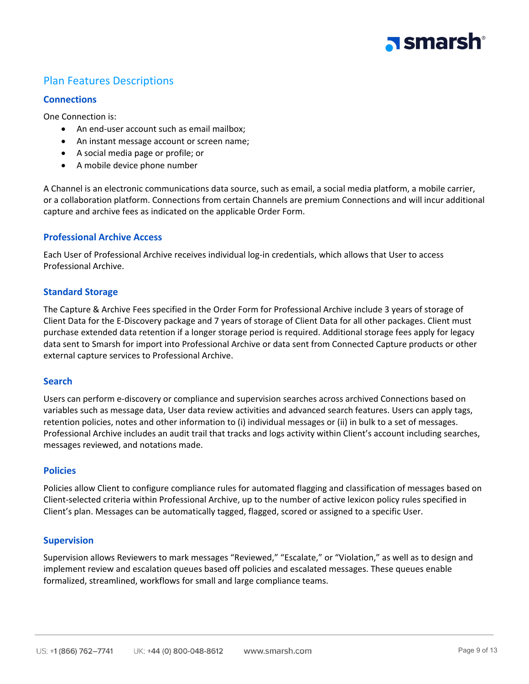

### <span id="page-8-0"></span>Plan Features Descriptions

### **Connections**

One Connection is:

- An end-user account such as email mailbox;
- An instant message account or screen name;
- A social media page or profile; or
- A mobile device phone number

A Channel is an electronic communications data source, such as email, a social media platform, a mobile carrier, or a collaboration platform. Connections from certain Channels are premium Connections and will incur additional capture and archive fees as indicated on the applicable Order Form.

### **Professional Archive Access**

Each User of Professional Archive receives individual log-in credentials, which allows that User to access Professional Archive.

### **Standard Storage**

The Capture & Archive Fees specified in the Order Form for Professional Archive include 3 years of storage of Client Data for the E-Discovery package and 7 years of storage of Client Data for all other packages. Client must purchase extended data retention if a longer storage period is required. Additional storage fees apply for legacy data sent to Smarsh for import into Professional Archive or data sent from Connected Capture products or other external capture services to Professional Archive.

### **Search**

Users can perform e-discovery or compliance and supervision searches across archived Connections based on variables such as message data, User data review activities and advanced search features. Users can apply tags, retention policies, notes and other information to (i) individual messages or (ii) in bulk to a set of messages. Professional Archive includes an audit trail that tracks and logs activity within Client's account including searches, messages reviewed, and notations made.

### **Policies**

Policies allow Client to configure compliance rules for automated flagging and classification of messages based on Client-selected criteria within Professional Archive, up to the number of active lexicon policy rules specified in Client's plan. Messages can be automatically tagged, flagged, scored or assigned to a specific User.

### **Supervision**

Supervision allows Reviewers to mark messages "Reviewed," "Escalate," or "Violation," as well as to design and implement review and escalation queues based off policies and escalated messages. These queues enable formalized, streamlined, workflows for small and large compliance teams.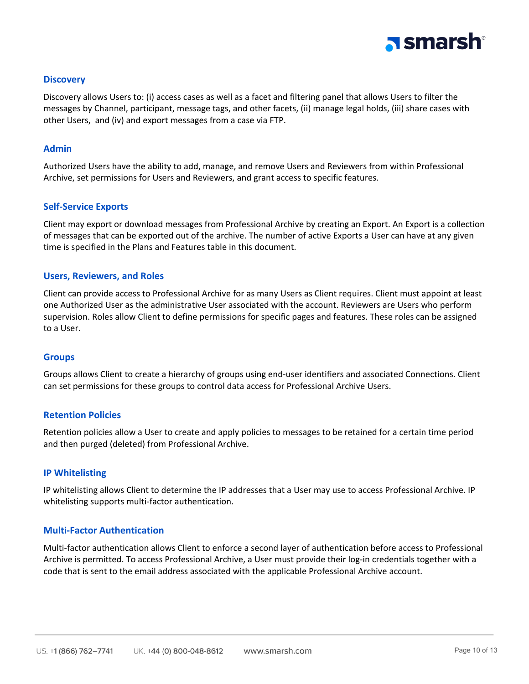

### **Discovery**

Discovery allows Users to: (i) access cases as well as a facet and filtering panel that allows Users to filter the messages by Channel, participant, message tags, and other facets, (ii) manage legal holds, (iii) share cases with other Users, and (iv) and export messages from a case via FTP.

### **Admin**

Authorized Users have the ability to add, manage, and remove Users and Reviewers from within Professional Archive, set permissions for Users and Reviewers, and grant access to specific features.

### **Self-Service Exports**

Client may export or download messages from Professional Archive by creating an Export. An Export is a collection of messages that can be exported out of the archive. The number of active Exports a User can have at any given time is specified in the Plans and Features table in this document.

### **Users, Reviewers, and Roles**

Client can provide access to Professional Archive for as many Users as Client requires. Client must appoint at least one Authorized User as the administrative User associated with the account. Reviewers are Users who perform supervision. Roles allow Client to define permissions for specific pages and features. These roles can be assigned to a User.

### **Groups**

Groups allows Client to create a hierarchy of groups using end-user identifiers and associated Connections. Client can set permissions for these groups to control data access for Professional Archive Users.

### **Retention Policies**

Retention policies allow a User to create and apply policies to messages to be retained for a certain time period and then purged (deleted) from Professional Archive.

### **IP Whitelisting**

IP whitelisting allows Client to determine the IP addresses that a User may use to access Professional Archive. IP whitelisting supports multi-factor authentication.

### **Multi-Factor Authentication**

Multi-factor authentication allows Client to enforce a second layer of authentication before access to Professional Archive is permitted. To access Professional Archive, a User must provide their log-in credentials together with a code that is sent to the email address associated with the applicable Professional Archive account.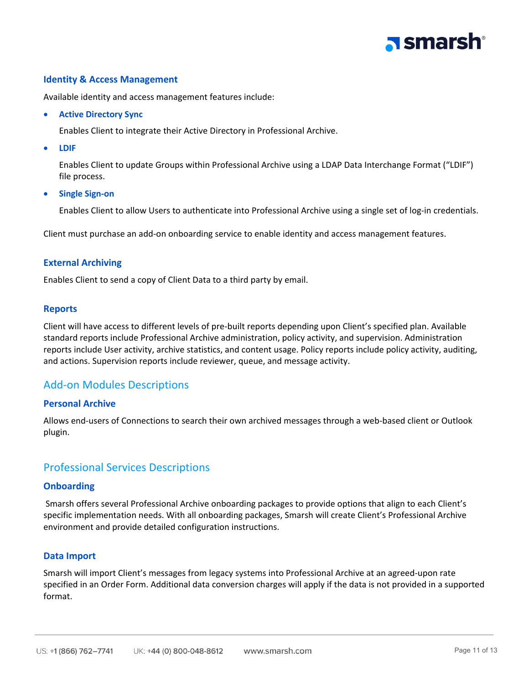## a smarsh<sup>®</sup>

### **Identity & Access Management**

Available identity and access management features include:

• **Active Directory Sync**

Enables Client to integrate their Active Directory in Professional Archive.

• **LDIF**

Enables Client to update Groups within Professional Archive using a LDAP Data Interchange Format ("LDIF") file process.

• **Single Sign-on**

Enables Client to allow Users to authenticate into Professional Archive using a single set of log-in credentials.

Client must purchase an add-on onboarding service to enable identity and access management features.

### **External Archiving**

Enables Client to send a copy of Client Data to a third party by email.

### **Reports**

Client will have access to different levels of pre-built reports depending upon Client's specified plan. Available standard reports include Professional Archive administration, policy activity, and supervision. Administration reports include User activity, archive statistics, and content usage. Policy reports include policy activity, auditing, and actions. Supervision reports include reviewer, queue, and message activity.

### <span id="page-10-0"></span>Add-on Modules Descriptions

### **Personal Archive**

Allows end-users of Connections to search their own archived messages through a web-based client or Outlook plugin.

### <span id="page-10-1"></span>Professional Services Descriptions

### **Onboarding**

Smarsh offers several Professional Archive onboarding packages to provide options that align to each Client's specific implementation needs. With all onboarding packages, Smarsh will create Client's Professional Archive environment and provide detailed configuration instructions.

### **Data Import**

Smarsh will import Client's messages from legacy systems into Professional Archive at an agreed-upon rate specified in an Order Form. Additional data conversion charges will apply if the data is not provided in a supported format.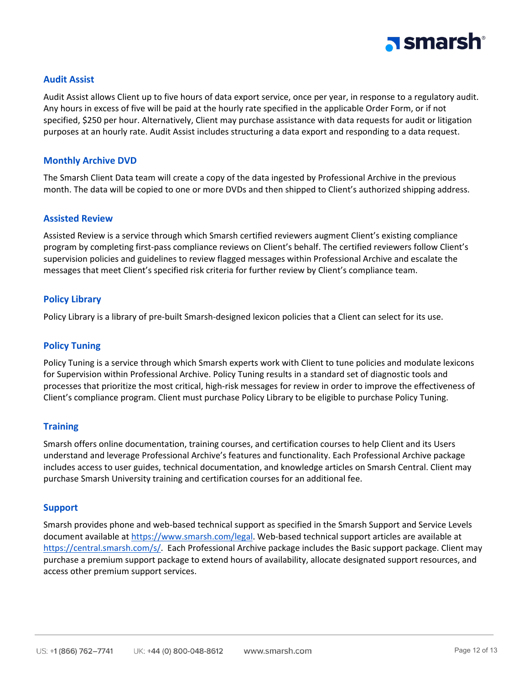

### **Audit Assist**

Audit Assist allows Client up to five hours of data export service, once per year, in response to a regulatory audit. Any hours in excess of five will be paid at the hourly rate specified in the applicable Order Form, or if not specified, \$250 per hour. Alternatively, Client may purchase assistance with data requests for audit or litigation purposes at an hourly rate. Audit Assist includes structuring a data export and responding to a data request.

### **Monthly Archive DVD**

The Smarsh Client Data team will create a copy of the data ingested by Professional Archive in the previous month. The data will be copied to one or more DVDs and then shipped to Client's authorized shipping address.

#### **Assisted Review**

Assisted Review is a service through which Smarsh certified reviewers augment Client's existing compliance program by completing first-pass compliance reviews on Client's behalf. The certified reviewers follow Client's supervision policies and guidelines to review flagged messages within Professional Archive and escalate the messages that meet Client's specified risk criteria for further review by Client's compliance team.

### **Policy Library**

Policy Library is a library of pre-built Smarsh-designed lexicon policies that a Client can select for its use.

### **Policy Tuning**

Policy Tuning is a service through which Smarsh experts work with Client to tune policies and modulate lexicons for Supervision within Professional Archive. Policy Tuning results in a standard set of diagnostic tools and processes that prioritize the most critical, high-risk messages for review in order to improve the effectiveness of Client's compliance program. Client must purchase Policy Library to be eligible to purchase Policy Tuning.

### **Training**

Smarsh offers online documentation, training courses, and certification courses to help Client and its Users understand and leverage Professional Archive's features and functionality. Each Professional Archive package includes access to user guides, technical documentation, and knowledge articles on Smarsh Central. Client may purchase Smarsh University training and certification courses for an additional fee.

#### **Support**

Smarsh provides phone and web-based technical support as specified in the Smarsh Support and Service Levels document available at [https://www.smarsh.com/legal.](https://www.smarsh.com/legal) Web-based technical support articles are available at [https://central.smarsh.com/s/.](https://central.smarsh.com/s/) Each Professional Archive package includes the Basic support package. Client may purchase a premium support package to extend hours of availability, allocate designated support resources, and access other premium support services.